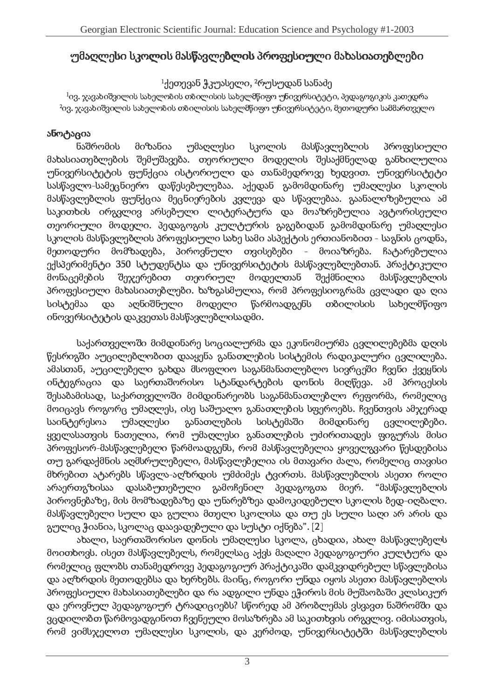## უმაღლესი სკოლის მასწავლებლის პროფესიული მახასიათებლები

### $1$ ქეთევან ჭკუასელი, <sup>2</sup>რუსუდან სანაძე

 $^{1}$ ივ. ჯავახიშვილის სახელობის თბილისის სახელმწიფო უნივერსიტეტი, პედაგოგიკის კათედრა <sup>2</sup>ივ. ჯავახიშვილის სახელობის თბილისის სახელმწიფო უნივერსიტეტი, მეთოდური სამმართველო

### ანოტაცია

ნაშრომის მიზანია უმაღლესი სკოლის მასწავლებლის პროფესიული მახასიათებლების შემუშავება. თეორიული მოდელის შესაქმნელად განხილულია უნივერსიტეტის ფუნქცია ისტორიული და თანამედროვე ხედვით. უნივერსიტეტი სასწავლო-სამეცნიერო დაწესებულებაა. აქედან გამომდინარე უმაღლესი სკოლის მასწავლებლის ფუნქცია მეცნიერების კვლევა და სწავლებაა. გაანალიზებულია ამ საკითხის ირგვლივ არსებული ლიტერატურა და მოაზრებულია ავტორისეული თეორიული მოდელი. პედაგოგის კულტურის გაგებიდან გამომდინარე უმაღლესი სკოლის მასწავლებლის პროფესიული სახე სამი ასპექტის ერთიანობით - საგნის ცოდნა, მეთოდური მომზადება, პიროვნული თვისებები - მოიაზრება. ჩატარებულია ექსპერიმენტი 350 სტუდენტსა და უნივერსიტეტის მასწავლებლებთან. პრაქტიკული მონაცემების შეჯერებით თეორიულ მოდელთან შექმნილია მასწავლებლის პროფესიული მახასიათებლები. ხაზგასმულია, რომ პროფესიოგრამა ცვლადი და ღია თბილისის სისტემაა აღნიშნული მოდელი წარმოადგენს სახელმწიფო და ინოვერსიტეტის დაკვეთას მასწავლებლისადმი.

საქართველოში მიმდინარე სოციალურმა და ეკონომიურმა ცვლილებებმა დღის წესრიგში აუცილებლობით დააყენა განათლების სისტემის რადიკალური ცვლილება. ამასთან, აუცილებელი გახდა მსოფლიო საგანმანათლებლო სივრცეში ჩვენი ქვეყნის ინტეგრაცია და საერთაშორისო სტანდარტების დონის მიღწევა. ამ პროცესის შესაბამისად, საქართველოში მიმდინარეობს საგანმანათლებლო რეფორმა, რომელიც მოიცავს როგორც უმაღლეს, ისე საშუალო განათლების სფეროებს. ჩვენთვის ამჯერად განათლების სისტემაში საინტერესოა <u>უმაღლესი </u> მიმდინარე ცვლილებები. ყველასათვის ნათელია, რომ უმაღლესი განათლების უძირითადეს ფიგურას მისი პროფესორ-მასწავლებელი წარმოადგენს, რომ მასწავლებელია ყოველგვარი წესდებისა თუ გარდაქმნის აღმსრულებელი, მასწავლებელია ის მთავარი ძალა, რომელიც თავისი მხრებით ატარებს სწავლა-აღზრდის უმძიმეს ტვირთს. მასწავლებლის ასეთი როლი არაერთგზისაა დასაბუთებული გამოჩენილ პედაგოგთა მიერ. "მასწავლებლის პიროვნებაზე, მის მომზადებაზე და უნარებზეა დამოკიდებული სკოლის ბედ-იღბალი. მასწავლებელი სული და გულია მთელი სკოლისა და თუ ეს სული საღი არ არის და გულიც ჭიანია, სკოლაც დაავადებული და სუსტი იქნება". [2]

ახალი, საერთაშორისო დონის უმაღლესი სკოლა, ცხადია, ახალ მასწავლებელს მოითხოვს. ისეთ მასწავლებელს, რომელსაც აქვს მაღალი პედაგოგიური კულტურა და რომელიც ფლობს თანამედროვე პედაგოგიურ პრაქტიკაში დამკვიდრებულ სწავლებისა და აღზრდის მეთოდებსა და ხერხებს. მაინც, როგორი უნდა იყოს ასეთი მასწავლებლის პროფესიული მახასიათებლები და რა ადგილი უნდა ეჭიროს მის მუშაობაში კლასიკურ და ეროვნულ პედაგოგიურ ტრადიციებს? სწორედ ამ პრობლემას ვსვავთ ნაშრომში და ვცდილობთ წარმოვადგინოთ ჩვენეული მოსაზრება ამ საკითხვის ირგვლივ. იმისათვის, რომ ვიმსჯელოთ უმაღლესი სკოლის, და კერძოდ, უნივერსიტეტში მასწავლებლის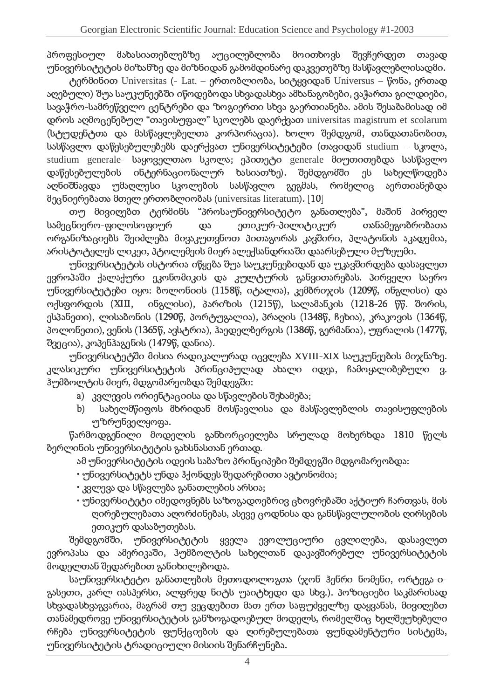პროფესიულ მახასიათებლებზე აუცილებლობა მოითხოვს შევჩერდეთ თავად უნივერსიტეტის მიზანზე და მიზნიდან გამომდინარე დაკვეთებზე მასწავლებლისადმი.

ტერმინით Universitas (- Lat. – ერთობლიობა, სიტყვიდან Universus – წონა, ერთად აღებული) შუა საუკუნეებში იწოდებოდა სხვადასხვა ამხანაგობები, ვაჭართა გილდიები, სავაჭრო-სამრეწველო ცენტრები და ზოგიერთი სხვა გაერთიანება. ამის შესაბამისად იმ დროს აღმოცენებულ "თავისუფალ" სკოლებს დაერქვათ universitas magistrum et scolarum (სტუდენტთა და მასწავლებელთა კორპორაცია), ხოლო შემდგომ, თანდათანობით, სასწავლო დაწესებულებებს დაერქვათ უნივერსიტეტები (თავიდან studium – სკი studium generale- საყოველთაო სკოლა; ეპითეტი generale მიუთითებდა სასწავლო დაწესებულების ინტერნაციონალურ ხასიათზე). შემდგომში ეს სახელწოდება აღნიშნავდა უმაღლესი სკოლების სასწავლო გეგმას, რომელიც აერთიანებდა მეცნიერებათა მთელ ერთობლიობას (universitas literatum).  $[10]$ 

თუ მივიღებთ ტერმინს "პროსაუნივერსიტეტო განათლება", მაშინ პირველ სამეცნიერო-ფილოსოფიურ და ეთიკურ-პილიტიკურ თანამეგობრობათა ორგანიზაციებს შეიძლება მივაკუთვნოთ პითაგორას კავშირი, პლატონის აკადემია არისტოტელეს ლიკეი, პტოლემეის მიერ ალექსანდრიაში დაარსებული მუზეუმი.

უნივერსიტეტის ისტორია იწყება შუა საუკუნეებიდან და უკავშირდება დასავლეთ ევროპაში ქალაქური ეკონომიკის და კულტურის განვითარებას. პირველი საერო უნივერსიტეტები იყო: ბოლონიის (1158წ, იტალია), კემბრიჯის (1209წ, ინგლისი) და ოქსფორდის (XIII,  $(XIII, \quad$  ინგლისი), პარიზის (1215წ), სალამანკის (1218-26 წწ. შორის, ესპანეთი), ლისაბონის (1290წ. პორტუგალია), პრაღის (1348წ, ჩეხია), კრაკოვის (1364წ,  $\,$ პოლონეთი), ვენის (1365წ, ავსტრია), ჰაედელბერგის (1386წ, გერმანია), უფრალის (1477წ, .  $\mathfrak{B}_{30}$ (30),  $\mathfrak{A}_{20}$  (33),  $\mathfrak{A}_{20}$  (30),  $\mathfrak{A}_{20}$  (1479),  $\mathfrak{B}_{20}$  (35).

უნივერსიტეტში მისია რადიკალურად იცვლება XVIII-XIX საუკუნეების მიჯნაზე, უ  $\alpha$ კლასიკური უნივერსიტეტის პრინციპულად ახალი იდეა, ჩამოყალიბებული ვ. ჰუმბოლტის მიერ, მდგომარეობდა შემდეგში:

- a) კვლევის ორიენტაციისა და სწავლების შეხამება;
- b) სახელმწიფოს მხრიდან მოსწავლისა და მასწავლებლის თავისუფლების უზრუნველყოფა.

წარმოდგენილი მოდელის განხორციელება სრულად მოხერხდა 1810 წელს. ზერლინის უნივერსიტეტის გახსნასთან ერთად.

ამ უნივერსიტეტის იდეის საბაზო პრინციპები შემდეგში მდგომარეობდა:

- უნივერსიტეტს უნდა ჰქონდეს შედარებითი ავტონომია;
- $\cdot$  კვლევა და სწავლება განათლების არსია;
- $\cdot$  უნივერსიტეტი იმედოვნებს საზოგადოებრივ ცხოვრებაში აქტიურ ჩართვას, მის ღირებულებათა აღორძინებას, ასევე ცოდნისა და განსწავლულობის ღირსების ეთიკურ დასაბუთებას.

შემდგომში, უნივერსიტეტის ყველა ევოლუციური ცვლილება, დასავლეთ ევროპასა და ამერიკაში, ჰუმბოლტის სახელთან დაკავშირებულ უნივერსიტეტის მოდელთან შედარებით განიხილებოდა.

საუნივერსიტეტო განათლების მეთოდოლოგთა (ჯონ ჰენრი ნომენი, ორტეგა-იგასეთი, კარლ იასპერსი, ალფრედ ნიტს უაიტხედი და სხვ.). პოზიციები საკმარისად სხვადასხვაგვარია, მაგრამ თუ ვეცდებით მათ ერთ საფუძველზე დაყვანას, მივიღებთ თანამედროვე უნივერსიტეტის განზოგადოებულ მოდელს, რომელშიც ხელშეუხებელი რჩება უნივერსიტეტის ფუნქციების და ღირებულებათა ფუნდამენტური სისტემა, უნივერსიტეტის ტრადიციული მისიის შენარჩუნება.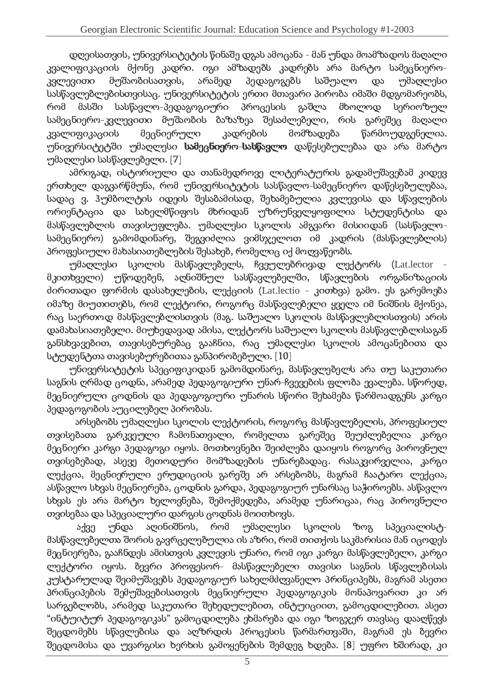დღეისათვის, უნივერსიტეტის წინაშე დგას ამოცანა - მან უნდა მოამზადოს მაღალი კვალიფიკაციის მქონე კადრი. იგი ამზადებს კადრებს არა მარტო სამეცნიერო- $\cdot$ კვლევითი მუშაობისათვის, არამედ პედაგოგებს საშუალო და უმაღლესი სასწავლებლებისთვისაც. უნივერსიტეტის ერთი მთავარი პირობა იმაში მდგომარეობს, რომ მასში - სასწავლო-პედაგოგიური პროცესის გაშლა მხოლოდ სერიოზულ სამეცნიერო-კვლევითი მუშაობის ბაზაზეა შესაძლებელი, რის გარეშეც მაღალი  $33$ ალიფიკაციის მეცნიერული კადრების მომზადება წარმოუდგენელია. უნივერსიტეტში უმაღლესი ს**ამეცნიერო-სასწავლო** დაწესებულებაა და არა მარტო  $\cdot$ უმაღლესი სასწავლებელი.  $[7]$ 

ამრიგად, ისტორილოი და თანამედროვე ლიტერატურის გადამუშავებამ კიდევ ერთხელ დაგვარწმუნა, რომ უნივერსიტეტის სასწავლო-სამეცნიერო დაწესებულებაა, . -&56&Wz\$%g %+)Yb2UQ.V)/-u/56"/-uX2"-&b2&Y/-%&560oX2"%e2&Y%"%b2+)./& \*\$."\$/-%& 56& -a&\$."b2/ორიენტაცია და სახელმწიფოს მხრიდან უზრუნველყოფილია სტუდენტისა და მასწავლებლის თავისუფლება. უმაღლესი სკოლის ამგვარი მისიიდან (სასწავლოსამეცნიერო) გამომდინარე, შეგვიძლია ვიმსჯელოთ იმ კადრის (მასწავლებლის) პროფესიული მახასიათებლების შესახებ, რომელიც იქ მოღვაწეობს.

უმაღლესი სკოლის მასწავლებელს, ჩვეულებრივად ლექტორს (Lat.lector მკითხველი) უწოდებენ, აღნიშნულ სასწავლებელში, სწავლების ორგანიზაციის ძირითადი ფორმის დასახელების, ლექციის (Lat.lectio - კითხვა) გამო. ეს გარემოება იმაზე მიუთითებს, რომ ლექტორი, როგორც მასწავლებელი ყველა იმ ნიშნის მქონეა, . დამახასიათებელი. მიუხედავად ამისა, ლექტორს საშუალო სკოლის მასწავლებლისაგან განსხვავებით, თავისებურებაც გააჩნია, რაც უმაღლესი სკოლის ამოცანებითა და სტუდენტთა თავისებურებითაა განპირობებული. [10]

უნივერსიტეტის სპეციფიკიდან გამომდინარე, მასწავლებელს არა თუ საკუთარი საგნის ღრმად ცოდნა, არამედ პედაგოგიური უნარ-ჩვევების ფლობა ევალება. სწორედ, მეცნიერული ცოდნის და პედაგოგიური უნარის სწორი შეხამება წარმოადგენს კარგი პედაგოგობის აუცილებელ პირობას.

#\$/-%"%b2&#&sj2&3Q\*\$%"%+)./ ~%&Y%UZ'&#\$&./0v3QUQY".#&sj2&3Q"X2"W X2"+,7."b2"./&s\*&34j2/ მეცნიერი კარგი პედაგოგი იყოს. მოთხოვნები შეიძლება დაიყოს როგორც პიროვნულ თვისებებად, ასევე მეთოდური მომზადების უნარებადაც. რასაკვირველია, კარგი ლექცია, მეცნიერული ერუდიციის გარეშე არ არსებობს, მაგრამ ჩაატარო ლექცია, ასწავლო სხვას მეცნიერება, ცოდნის გარდა, პედაგოგიურ უნარსაც საჭიროებს. ასწავლო სხვას ეს არა მარტო ხელოვნება, შემოქმედება, არამედ უნარიცაა, რაც პიროვნული თვისებაა და სპეციალური დარგის ცოდნას მოითხოვს.

 $\gamma$ ნდა აღინიშნოს, რომ უმაღლესი სკოლის ზოგ სპეციალისტაქვე მასწავლებელთა შორის გავრცელებულია ის აზრი, რომ თითქოს საკმარისია მან იცოდეს მეცნიერება, გააჩნდეს ამისთვის კვლევის უნარი, რომ იგი კარგი მასწავლებელი, კარგი ლექტორი იყოს, ბევრი პროფესორ- მასწავლებელი თავისი საგნის სწავლებისას <u>კოსტაროლად შიიმოშავიზს პიდაგოგიურ სახილმძოვანილო პრინციპიზს, მაგრამ ასითი</u> პრინციპების შემუშავებისათვის მეცნიერული პედაგოგიკის მონაპოვარით კი არ სარგებლობს, არამედ საკუთარი შეხედულებით, ინტუიციით, გამოცდილებით. ასეთ "ინტუიტურ პედაგოგიკას" გამოცდილება ეხმარება და იგი ზოგჯერ თავსაც დააღწევს შეცდომებს სწავლებისა და აღზრდის პროცესის წარმართვაში, მაგრამ ეს ბევრი შეცდომისა და უვარგისი ხერხის გამოყენების შემდეგ ხდება. [8] უფრო ხშირად, კ

5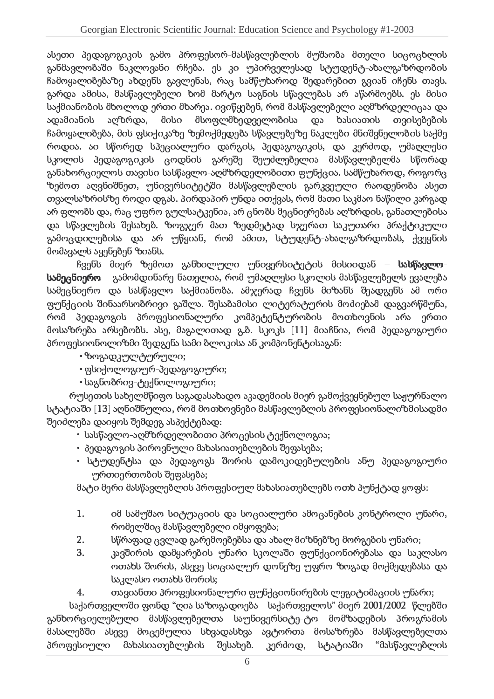ასეთი პედაგოგიკის გამო პროფესორ-მასწავლებლის მუშაობა მთელი სიცოცხლის განმავლობაში ნაკლოვანი რჩება. ეს კი უპირველესად სტუდენტ-ახალგაზრდობის ჩამოყალიბებაზე ახდენს გავლენას, რაც სამწუხაროდ შედარებით გვიან იჩენს თავს. გარდა ამისა, მასწავლებელი ხომ მარტო საგნის სწავლებას არ აწარმოებს. ეს მისი საქმიანობის მხოლოდ ერთი მხარეა, ივიწყებენ, რომ მასწავლებელი აომზრდელიცაა დ ადამიანის აღზრდა, მისი მსოფლმხედველობისა და ხასიათის თვისებების ჩამოყალიბება, მის ფსიქიკაზე ზემოქმედება სწავლებეზე ნაკლები მნიშვნელობის საქმე სკოლის პედაგოგიკის ცოდნის გარეშე შეუძლებელია მასწავლებელმა სწორად განახორციელოს თავისი სასწავლო-აღმზრდელობითი ფუნქცია. სამწუხაროდ, როგორც ზემოთ აღვნიშნეთ. უნივერსიტეტში მასწავლებლის გარკვეული რაღდენობა ასეთ თვალსაზრისზე როდი დგას. პირდაპირ უნდა ითქვას, რომ მათი საკმაო ნაწილი კარგად არ ფლობს და, რაც უფრო გულსატკენია, არ ცნობს მეცნიერებას აღზრდის, განათლებისა <u>გამოცდილებისა და არ უწყიან. რომ ამით. სტუდენტ-ახალგაზრდობას, ქვეყნის </u> მომავალს აყენებენ ზიანს.

 $~$ ჩვენს მიერ ზემოთ განხილული უნივერსიტეტის მისიიდან – სა **სამეცნიერო –** გამომდინარე ნათელია, რომ უმაღლესი სკოლის მასწავლებელს ევალება სამეცნიერო და სასწავლო საქმიანობა. ამჯერად ჩვენს მიზანს შეადგენს ამ ორი gynნქციის შინაარსობრივი გაშლა. შესაბამისი ლიტერატურის მოძიებამ დაგვარწმუნა, რომ პედაგოგის პროფესიონალური კომპეტენტურობის მოთხოვნის არა ერთი მოსაზრება არსებობს, ასე, მაგალითად გ.ბ. სკოკს [11] მიაჩნია, რომ პედაგოგიურ პროფესიონოლიზმი შედგენა სამი ბლოკისა ან კომპონენტისაგან:

- $\cdot$ ზოგადკულტურული;
- ფსიქოლოგიურ-პედაგოგიური;
- საგნობრივ-ტექნოლოგიური;

რუსეთის სახელმწიფო საგადასახადო აკადემიის მიერ გამოქვეყნებულ საჟურნალო სტატიაში [13] აღნიშნულია, რომ მოთხოვნები მასწავლებლის პროფესიონალიზმისადმი შეიძლება დაიყოს შემდეგ ასპექტებად:

- სასწავლო-აღმზრდელობითი პროცესის ტექნოლოგია;
- $\cdot$  პედაგოგის პიროვნული მახასიათებლების შეფასება;
- სტუდენტსა და პედაგოგს შორის დამოკიდებულების ანუ პედაგოგიური ურთიერთობის შეფასება;

მატი მერი მასწავლებლის პროფესიულ მახასიათებლებს ოთხ პუნქტად ყოფს:

- 1. იმ სამუშაო სიტუაციის და სოციალური ამოცანების კონტროლი უნარი, რომელშიც მასწავლებელი იმყოფება;
- gსწრაფად ცვლად გარემოებებსა და ახალ მიზნებზე მორგების უნარი;
- gკავშირის დამყარების უნარი სკოლაში ფუნქციონირებასა და საკლასო ოთახს შორის, ასევე სოციალურ დონეზე უფრო ზოგად მოქმედებასა და  $b$ აკლასო ოთახს შორის;

4. თავიანთი პროფესიონალური ფუნქციონირების ლეგიტიმაციის უნარი;

საქართველოში ფონდ "ღია საზოგადოება - საქართველოს" მიერ 2001/2002 -წლებში განხორციელებული მასწავლებელთა საუნივერსიტე-ტო მომზადების პროგრამის პროფესიული მახასიათებლების შესახებ. კერძოდ, სტატიაში "მასწავლებლის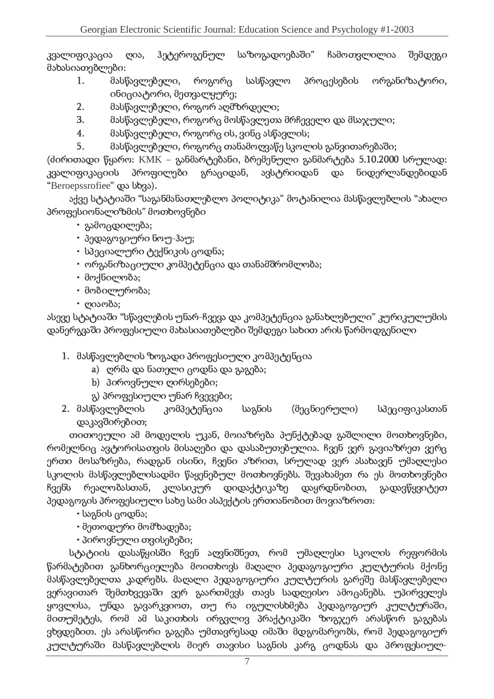ჰეტეროგენულ საზოგადოებაში" ჩამოთვლილია შემდეგი კვალიფიკაცია  $\mathcal{O}$ მახასიათებლები:

- 1. მასწავლებელი, როგორც სასწავლო პროცესების ორგანიზატორი,  $\sigma$ ნიციატორი, მეთვალყურე;
- gმასწავლებელი, როგორ აღმზრდელი;
- gმასწავლებელი, როგორც მოსწავლეთა მრჩეველი და მსაჯული;
- $4.$  მასწავლებელი, როგორც ის, ვინც ასწავლის;
- $5<sub>1</sub>$ მასწავლებელი, როგორც თანამოღვაწე სკოლის განვითარებაში;

(ძირითადი წყარო: KMK – განმარტებანი, ბრემენული განმარტება 5.10.2000 სრულად:  $33$  $8$ ლიფიკაციის პროფილები გრაციდან, ავსტრიიდან და ნიდერლანდებიდან "Beroepssrofiee" cos bb3s).

აქვე სტატიაში "საგანმანათლებლო პოლიტიკა" მოტანილია მასწავლებლის "ახალი პროფესიონალიზმის" მოთხოვნები

- გამოცდილება;
- $\cdot$  პედაგოგიური ნოუ-ჰაუ;
- სპეციალური ტექნიკის ცოდნა;
- $\cdot$  ორგანიზაციული კომპეტენცია და თანამშრომლობა;
- $\cdot$  მოქნილობა;
- მობილურობა;
- $\cdot$  gosmos;

ასევე სტატიაში "სწავლების უნარ-ჩვევა და კომპეტენცია განახლებული" კურიკულუმის დანერგვაში პროფესიული მახასიათებლები შემდეგი სახით არის წარმოდგენილი

- 1. მასწავლებლის ზოგადი პროფესიული კომპეტენცია
	- a) ღრმა და ნათელი ცოდნა და გაგება;
	- b) პიროვნული ღირსებები;
	- გ) პროფესიული უნარ ჩვევები;
- 2. მასწავლებლის კომპეტენცია საგნის (მეცნიერული) სპეციფიკასთან დაკავშირებით;

თითოეული ამ მოდელის უკან, მოიაზრება პუნქტებად გაშლილი მოთხოვნები, რომელნიც ავტორისათვის მისაღები და დასაბუთებულია, ჩვენ ვერ გავიაზრეთ ვერც ერთი მოსაზრება, რადგან ისინი, ჩვენი აზრით, სრულად ვერ ასახავენ უმაღლესი სკოლის მასწავლებლისადმი წაყენებულ მოთხოვნებს. შევახამეთ რა ეს მოთხოვნები  $~$  8300) წესლობასთან, კლასიკურ დიდაქტიკაზე დაყრდნობით, გადავწყვიტეთ პედაგოგის პროფესიული სახე სამი ასპექტის ერთიანობით მოვიაზროთ:

- $\cdot$  საგნის ცოდნა;
- $\cdot$  მეთოდური მომზადება;
- $\cdot$  პიროვნული თვისებები;

სტატიის დასაწყისში ჩვენ აღვნიშნეთ, რომ უმაღლესი სკოლის რეფორმის წარმატებით განხორციელება მოითხოვს მაღალი პედაგოგიური კულტურის მქონე მასწავლებელთა კადრებს. მაღალი პედაგოგიური კულტურის გარეშე მასწავლებელი ვერავითარ შემთხვევაში ვერ ჯაართმევს თავს სადოეისო ამოგანებს, უპირველეს ყოვლისა, უნდა გავარკვიოთ, თუ რა იგულისხმება პედაგოგიურ კულტურაში, ვხვდებით. ეს არასწორი გაგება უმთავრესად იმაში მდგომარეობს, რომ პედაგოგიურ კულტურაში მასწავლებლის მიერ თავისი საგნის კარგ ცოდნას და პროფესიულ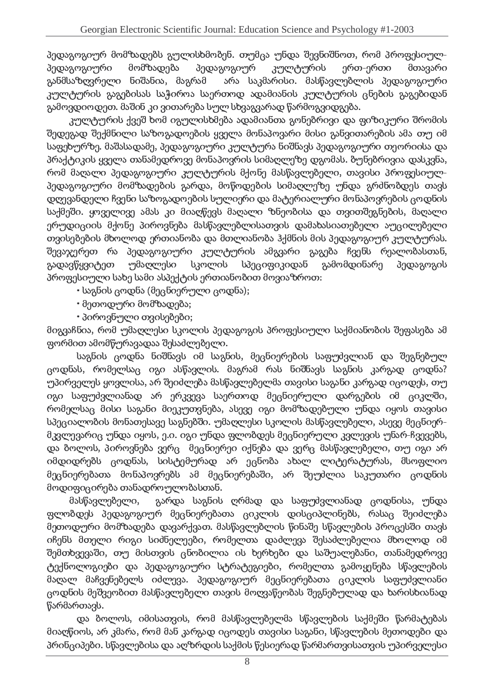პედაგოგიურ მომზადებს გულისხმობენ. თუმცა უნდა შევნიშნოთ, რომ პროფესიულპედაგოგიური მომზადება პედაგოგიურ კულტურის ერთ-ერთი მთავარი განმსაზღვრელი ნიშანია, მაგრამ არა საკმარისი. მასწავლებლის პედაგოგიური კულტურის გაგებისას საჭიროა საერთოდ ადამიანის კულტურის ცნების გაგებიდან გამოვდიოდეთ. მაშინ კი ვითარება სულ სხვაგვარად წარმოგვიდგება.

კულტურის ქვეშ ხომ იგულისხმება ადამიანთა გონებრივი და ფიზიკური შრომის შედეგად შექმნილი საზოგადოების ყველა მონაპოვარი მისი განვითარების ამა თუ იმ საფეხურზე. მაშასადამე, პედაგოგიური კულტურა ნიშნავს პედაგოგიური თეორიისა და პრაქტიკის ყველა თანამედროვე მონაპოვრის სიმაღლეზე დგომას. ბუნებრივია დასკვნა, რომ მაღალი პედაგოგიური კულტურის მქონე მასწავლებელი, თავისი პროფესიულპედაგოგიური მომზადების გარდა, მოწოდების სიმაღლეზე უნდა გრძნობდეს თავს დღევანდელი ჩვენი საზოგადოების სულიერი და მატერიალური მონაპოვრების ცოდნის საქმეში, ყოველივე ამას კი მიაღწევს მაღალი ზნეობისა და თვითშეგნების, მაღალი ერუდიციის მქონე პიროვნება მასწავლებლისათვის დამახასიათებელი აუცილებელი თვისებების მხოლოდ ერთიანობა და მთლიანობა ჰქმნის მის პედაგოგიურ კულტურას. შევაჯერეთ რა პედაგოგიური კულტურის ამგვარი გაგება ჩვენს რეალობასთან, გადავწყვიტეთ უმაღლესი სკოლის სპეციფიკიდან გამომდინარე პედაგოგის პროფესიული სახე სამი ასპექტის ერთიანობით მოვიაზროთ:

• საგნის ცოდნა (მეცნიერული ცოდნა);

- $\cdot$  მეთოდური მომზადება;
- $\cdot$  პიროვნული თვისებები;

მიგვაჩნია, რომ უმაღლესი სკოლის პედაგოგის პროფესიული საქმიანობის შეფასება ა ფორმით ამომწურავადაა შესაძლებელი.

საგნის ცოდნა ნიშნავს იმ საგნის, მეცნიერების საფუძვლიან და შეგნებულ ცოდნას, რომელსაც იგი ასწავლის. მაგრამ რას ნიშნავს საგნის კარგად ცოდნა? უპირველეს ყოვლისა, არ შეიძლება მასწავლებელმა თავისი საგანი კარგად იცოდეს, თუ იგი საფუძვლიანად არ ერკვევა საერთოდ მეცნიერული დარგების იმ ციკლში, რომელსაც მისი საგანი მიეკუთვნება, ასევე იგი მომზადებული უნდა იყოს თავისი სპეციალობის მონათესავე საგნებში, უმაღლესი სკოლის მასწავლებელი, ასევე მეცნიერმკვლევარიც უნდა იყოს, ე.ი. იგი უნდა ფლობდეს მეცნიერული კვლევის უნარ-ჩვევებს, . და ბოლოს, პიროვნება ვერც - მეცნიერეი იქნება და ვერც მასწავლებელი, თუ იგი არ იმდიდრებს ცოდნას, სისტემურად არ ეცნობა ახალ ლიტერატურას, მსოფლიო მეცნიერებათა მონაპოვრებს ამ მეცნიერებაში, არ შეუძლია საკუთარი ცოდნის მოდიფიცირება თანადროულობასთან.

მასწავლებელი, გარდა საგნის ღრმად და საფუძვლიანად ცოდნისა, უნდა <u>ფლობდის პიდაგოგიურ მიგნიირიბათა ციკლის დისციპლინიბს, რასაც შიიძლიბა -</u> მეთოდური მომზადება დავარქვათ. მასწავლებლის წინაშე სწავლების პროცესში თავს იჩენს მთელი რიგი სიძნელეები, რომელთა დაძლევა შესაძლებელია მხოლოდ იმ შემთხვევაში, თუ მისთვის ცნობილია ის ხერხები და საშუალებანი, თანამედროვე ტექნოლოგიები და პედაგოგიური სტრატეგიები, რომელთა გამოყენება სწავლების მაღალ მაჩვენებელს იძლევა. პედაგოგიურ მეცნიერებათა ციკლის საფუძვლიანი ცოდნის მეშვეობით მასწავლებელი თავის მოღვაწეობას შეგნებულად და ხარისხიანად წარმართავს.

და ბოლოს, იმისათვის, რომ მასწავლებელმა სწავლების საქმეში წარმატებას მიაღწიოს, არ კმარა, რომ მან კარგად იცოდეს თავისი საგანი, სწავლების მეთოდები და პრინციპები. სწავლებისა და აღზრდის საქმის წესიერად წარმართვისათვის უპირველესი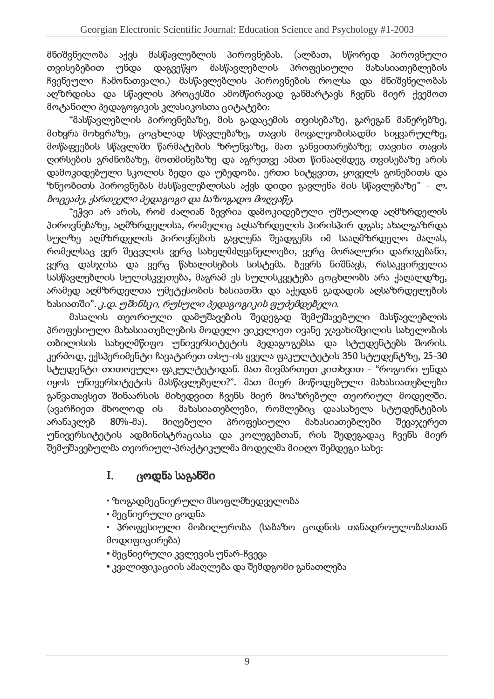მნიშვნელობა აქვს მასწავლებლის პიროვნებას. (ალბათ, სწორედ პიროვნული თვისებებით <u>უნდა დაგვეწყო მასწავლებლის პროფესიული მახასიათებლების</u>  $~$  ჩვენეული ჩამონათვალი.) მასწავლებლის პიროვნების როლსა და მნიშვნელობას აოზრდისა და სწავლის პროცესში ამომწირავად განმარტავს ჩვენს მიერ ქვემოთ მოტანილი პედაგოგიკის კლასიკოსთა ციტატები:

"მასწავლებლის პიროვნებაზე, მის გადაცემის თვისებაზე, გარეგან მანერებზე, მიხვრა-მოხვრაზე, ცოცხლად სწავლებაზე, თავის მოვალეობისადმი სიყვარულზე, მოწაფეების სწავლაში წარმატების ზრუნვაზე, მათ განვითარებაზე; თავისი თავის ღირსების გრძნობაზე, მოთმინებაზე და აგრეთვე ამათ წინააღმდეგ თვისებაზე არის დამოკიდებული სკოლის ბედი და უბედობა. ერთი სიტყვით, ყოველს გონებითს და ზნეობითს პიროვნებას მასწავლებლისას აქვს დიდი გავლენა მის სწავლებაზე" - *ლ.*  $\blacksquare$  . The set of the set of the set of the set of the set of the set of the set of the set of the set of the set of the set of the set of the set of the set of the set of the set of the set of the set of the set of the

"ეჭვი არ არის, რომ ძალიან ბევრია დამოკიდებული უშუალოდ აომზრდელის პიროვნებაზე, აღმზრდელისა, რომელიც აღსაზრდელის პირისპირ დგას; ახალგაზრდა სულზე აღმზრდელის პიროვნების გავლენა შეადგენს იმ სააღმზრდელო ძალას, რომელსაც ვერ შეცვლის ვერც სახელმძღვანელოები, ვერც მორალური დარიგებანი, . ვერც დასჯისა და ვერც წახალისების სისტემა, ბევრს ნიშნავს, რასაკვირველია სასწავლებლის სულისკვეთება, მაგრამ ეს სულისკვეტება ცოცხლობს არა ქაღალდზე, არამიდ აღმზრდელთა ლმეტესობის ხასიათში და აქედან ჯადადის აღსაზრდელების ხასიათში". *კ.დ. უშინსკი, რუსული პედაგოგიკის ფუძემდებელი* 

პროფესიული მახასიათებლების მოდელი ვიკვლიეთ ივანე ჯავახიშვილის სახელობი თბილისის სახელმწიფო უნივერსიტეტის პედაგოგებსა და სტუდენტებს შორის. კერძოდ, ექსპერიმენტი ჩავატარეთ თსუ-ის ყველა ფაკულტეტის 350 სტუდენტზე, 25-30 სტუდენტი თითოეული ფაკულტეტიდან. მათ მივმართეთ კითხვით - "როგორი უნდა იყოს უნივერსიტეტის მასწავლებელი?". მათ მიერ მოწოდებული მახასიათებლები განვათავსეთ შინაარსის მიხედვით ჩვენს მიერ მოაზრებულ თეორიულ მოდელში. (ავარჩიეთ მხოლოდ ის მახასიათებლები, რომლებიც დაასახელა სტუდენტების არანაკლებ 80%-მა). მიღებული პროფესიული მახასიათებლები შევაჯერეთ უნივერსიტეტის ადმინისტრაციასა და კოლეგებთან, რის შედეგადაც ჩვენს მიერ შემუშავებულმა თეორიულ-პრაქტიკულმა მოდელმა მიიღო შემდეგი სახე:

#### $\mathbf{I}$ . ცოდნა საგანში — —

• ზოგადმეცნიერული მსოფლმხედველობა

• მეცნიერული ცოდნა

• პროფესიული მობილურობა (საბაზო ცოდნის თანადროულობასთან მოდიფიცირება)

• მეცნიერული კვლევის უნარ-ჩვევა

 $\cdot$  კვალიფიკაციის ამაღლება და შემდგომი განათლება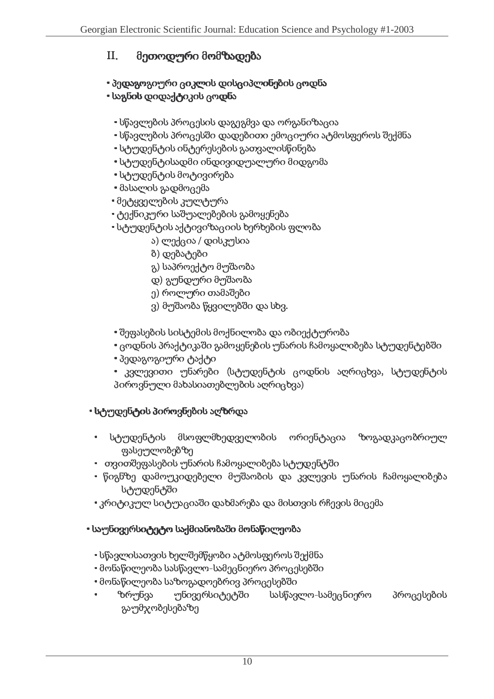#### $II.$  $\sim$  000  $\sim$  0.

• პედაგოგიური ციკლის დისციპლინების ცოდნა

# $\cdot$  საგნის დიდაქტიკის ცოდნა

- $\cdot$  სწავლების პროცესის დაგეგმვა და ორგანიზაცია
- <u>- სწავლების პროცესში დადებითი ემოციური ატმოსფეროს შექმნა</u>
- $\cdot$  სტუდენტის ინტერესების გათვალისწინება
- სტუდენტისადმი ინდივიდუალური მიდგომა
- სტუდენტის მოტივირება
- მასალის გადმოცემა
- მეტყველების კულტურა
- ტექნიკური საშუალებების გამოყენება
- სტუდენტის აქტივიზაციის ხერხების ფლობა
	- $s$ ) ლექცია / დისკუსია
	- ბ) დებატები
	- გ) საპროექტო მუშაობა
	- დ) გუნდური მუშაობა
	- ე) როლური თამაშები
	- ვ) მუშაობა წყვილებში და სხვ.
- შეფასების სისტემის მოქნილობა და ობიექტურობა
- <u>• ცოდნის პრაქტიკაში გამოყენების უნარის ჩამოყალიბება სტუდენტებში</u>
- პედაგოგიური ტაქტი
- \* კვლევითი უნარები (სტუდენტის ცოდნის აღრიცხვა, სტუდენტის პიროვნული მახასიათებლების აღრიცხვა)

# • სტუდენტის პიროვნების აღზრდა

- სტუდენტის მსოფლმხედველობის ორიენტაცია ზოგადკაცობრიულ ფასე<u>უ</u>ლობებზე
- თვითშეფასების უნარის ჩამოყალიბება სტუდენტში
- წიგნზე დამოუკიდებელი მუშაობის და კვლევის უნარის ჩამოყალიბება სტუდენტში
- $\cdot$ კრიტიკულ სიტუაციაში დახმარება და მისთვის რჩევის მიცემა
- <u>• საუნივერსიტეტო საქმიანობაში მონაწილეობა</u>
	- სწავლისათვის ხელშემწყობი ატმოსფეროს შექმნა
	- $\cdot$  მონაწილეობა სასწავლო-სამეცნიერო პროცესებში
	- $\cdot$  მონაწილეობა საზოგადოებრივ პროცესებში
	- <u>ზრუნვა უნივერსიტეტში სასწავლო-სამეცნიერო პროცესების</u> გაუმჯობესებაზე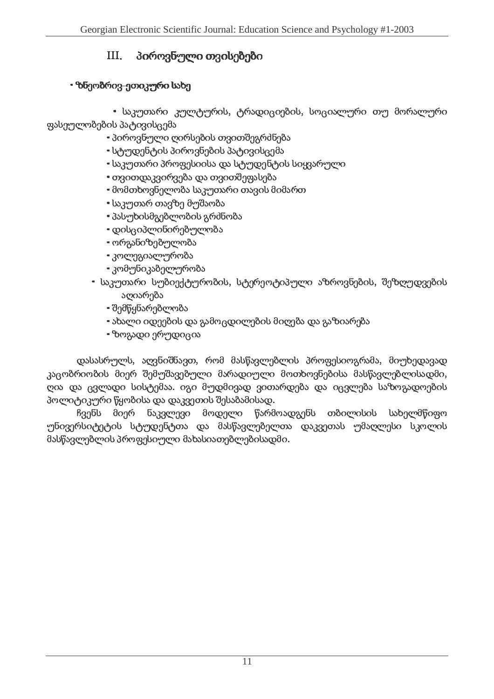#### $III.$ = 1

# $\cdot$  ზნეობრივ-ეთიკური სახე

• საკუთარი კულტურის, ტრადიციების, სოციალური თუ მორალური ფასეულობების პატივისცემა

- პიროვნული ღირსების თვითშეგრძნება
- $\cdot$  სტუდენტის პიროვნების პატივისცემა
- $\cdot$  საკუთარი პროფესიისა და სტუდენტის სიყვარული
- $\cdot$  თვითდაკვირვება და თვითშეფასება
- $\cdot$  მომთხოვნელობა საკუთარი თავის მიმართ
- საკუთარ თავზე მუშაობა
- პასუხისმგებლობის გრძნობა
- დისციპლინირებულობა
- ორგანიზებულობა
- \* კოლეგიალურობა
- \* კომუნიკაბელურობა
- საკუთარი სუბიექტურობის, სტერეოტიპული აზროვნების, შეზოუდვების აღიარება
	- შემწყნარებლობა
	- $\cdot$  ახალი იდეების და გამოცდილების მიღება და გაზიარება
	- $\cdot$  ზოგადი ერუდიცია

დასასრულს, აღვნიშნავთ, რომ მასწავლებლის პროფესიოგრამა, მიუხედავად კაცობრიობის მიერ შემუშავებული მარადიული მოთხოვნებისა მასწავლებლისადმი, პოლიტიკური წყობისა და დაკვეთის შესაბამისად.

.<br>ჩვენს მიერ ნაკვლევი მოდელი წარმოადგენს თბილისის სახელმწიფო უნივერსიტეტის სტუდენტთა და მასწავლებელთა დაკვეთას უმაღლესი სკოლის მასწავლებლის პროფესიული მახასიათებლებისადმი.